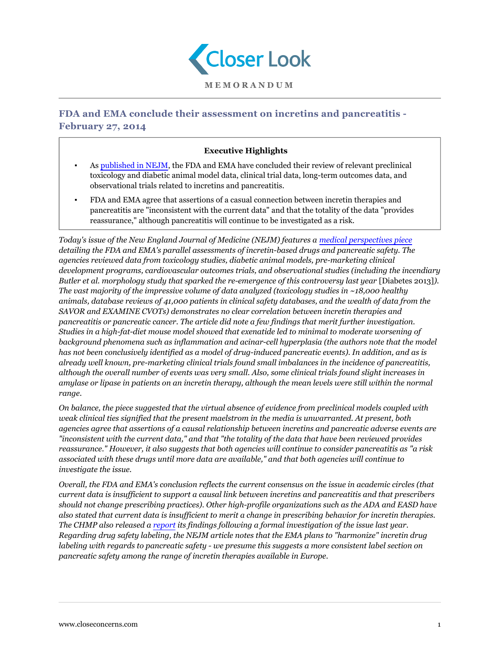

## **FDA and EMA conclude their assessment on incretins and pancreatitis - February 27, 2014**

## **Executive Highlights**

- As [published in NEJM,](http://www.nejm.org/doi/full/10.1056/NEJMp1314078) the FDA and EMA have concluded their review of relevant preclinical toxicology and diabetic animal model data, clinical trial data, long-term outcomes data, and observational trials related to incretins and pancreatitis.
- FDA and EMA agree that assertions of a casual connection between incretin therapies and pancreatitis are "inconsistent with the current data" and that the totality of the data "provides reassurance," although pancreatitis will continue to be investigated as a risk.

*Today's issue of the New England Journal of Medicine (NEJM) features a [medical perspectives piece](http://www.nejm.org/doi/full/10.1056/NEJMp1314078) detailing the FDA and EMA's parallel assessments of incretin-based drugs and pancreatic safety. The agencies reviewed data from toxicology studies, diabetic animal models, pre-marketing clinical development programs, cardiovascular outcomes trials, and observational studies (including the incendiary Butler et al. morphology study that sparked the re-emergence of this controversy last year* [Diabetes 2013]*). The vast majority of the impressive volume of data analyzed (toxicology studies in ~18,000 healthy animals, database reviews of 41,000 patients in clinical safety databases, and the wealth of data from the SAVOR and EXAMINE CVOTs) demonstrates no clear correlation between incretin therapies and pancreatitis or pancreatic cancer. The article did note a few findings that merit further investigation. Studies in a high-fat-diet mouse model showed that exenatide led to minimal to moderate worsening of background phenomena such as inflammation and acinar-cell hyperplasia (the authors note that the model has not been conclusively identified as a model of drug-induced pancreatic events). In addition, and as is already well known, pre-marketing clinical trials found small imbalances in the incidence of pancreatitis, although the overall number of events was very small. Also, some clinical trials found slight increases in amylase or lipase in patients on an incretin therapy, although the mean levels were still within the normal range.*

*On balance, the piece suggested that the virtual absence of evidence from preclinical models coupled with weak clinical ties signified that the present maelstrom in the media is unwarranted. At present, both agencies agree that assertions of a causal relationship between incretins and pancreatic adverse events are "inconsistent with the current data," and that "the totality of the data that have been reviewed provides reassurance." However, it also suggests that both agencies will continue to consider pancreatitis as "a risk associated with these drugs until more data are available," and that both agencies will continue to investigate the issue.*

*Overall, the FDA and EMA's conclusion reflects the current consensus on the issue in academic circles (that current data is insufficient to support a causal link between incretins and pancreatitis and that prescribers should not change prescribing practices). Other high-profile organizations such as the ADA and EASD have also stated that current data is insufficient to merit a change in prescribing behavior for incretin therapies. The CHMP also released a [report](/knowledgebase/r/72400858) its findings following a formal investigation of the issue last year. Regarding drug safety labeling, the NEJM article notes that the EMA plans to "harmonize" incretin drug labeling with regards to pancreatic safety - we presume this suggests a more consistent label section on pancreatic safety among the range of incretin therapies available in Europe.*